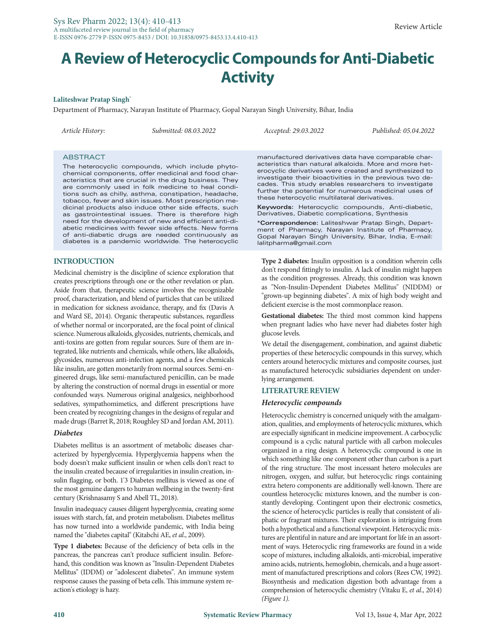# **A Review of Heterocyclic Compounds for Anti-Diabetic Activity**

#### **Laliteshwar Pratap Singh\***

Department of Pharmacy, Narayan Institute of Pharmacy, Gopal Narayan Singh University, Bihar, India

*Article History: Submitted: 08.03.2022 Accepted: 29.03.2022 Published: 05.04.2022*

## **ABSTRACT**

The heterocyclic compounds, which include phytochemical components, offer medicinal and food characteristics that are crucial in the drug business. They are commonly used in folk medicine to heal conditions such as chilly, asthma, constipation, headache, tobacco, fever and skin issues. Most prescription medicinal products also induce other side effects, such as gastrointestinal issues. There is therefore high need for the development of new and efficient anti-diabetic medicines with fewer side effects. New forms of anti-diabetic drugs are needed continuously as diabetes is a pandemic worldwide. The heterocyclic

## **INTRODUCTION**

Medicinal chemistry is the discipline of science exploration that creates prescriptions through one or the other revelation or plan. Aside from that, therapeutic science involves the recognizable proof, characterization, and blend of particles that can be utilized in medication for sickness avoidance, therapy, and fix (Davis A and Ward SE, 2014). Organic therapeutic substances, regardless of whether normal or incorporated, are the focal point of clinical science. Numerous alkaloids, glycosides, nutrients, chemicals, and anti-toxins are gotten from regular sources. Sure of them are integrated, like nutrients and chemicals, while others, like alkaloids, glycosides, numerous anti-infection agents, and a few chemicals like insulin, are gotten monetarily from normal sources. Semi-engineered drugs, like semi-manufactured penicillin, can be made by altering the construction of normal drugs in essential or more confounded ways. Numerous original analgesics, neighborhood sedatives, sympathomimetics, and different prescriptions have been created by recognizing changes in the designs of regular and made drugs (Barret R, 2018; Roughley SD and Jordan AM, 2011).

## *Diabetes*

Diabetes mellitus is an assortment of metabolic diseases characterized by hyperglycemia. Hyperglycemia happens when the body doesn't make sufficient insulin or when cells don't react to the insulin created because of irregularities in insulin creation, insulin flagging, or both. 1'3 Diabetes mellitus is viewed as one of the most genuine dangers to human wellbeing in the twenty-first century (Krishnasamy S and Abell TL, 2018).

Insulin inadequacy causes diligent hyperglycemia, creating some issues with starch, fat, and protein metabolism. Diabetes mellitus has now turned into a worldwide pandemic, with India being named the "diabetes capital" (Kitabchi AE, *et al*., 2009).

**Type 1 diabetes:** Because of the deficiency of beta cells in the pancreas, the pancreas can't produce sufficient insulin. Beforehand, this condition was known as "Insulin-Dependent Diabetes Mellitus" (IDDM) or "adolescent diabetes". An immune system response causes the passing of beta cells. This immune system reaction's etiology is hazy.

manufactured derivatives data have comparable characteristics than natural alkaloids. More and more heterocyclic derivatives were created and synthesized to investigate their bioactivities in the previous two decades. This study enables researchers to investigate further the potential for numerous medicinal uses of these heterocyclic multilateral derivatives.

**Keywords:** Heterocyclic compounds, Anti-diabetic, Derivatives, Diabetic complications, Synthesis

**\*Correspondence:** Laliteshwar Pratap Singh, Department of Pharmacy, Narayan Institute of Pharmacy, Gopal Narayan Singh University, Bihar, India, E-mail: lalitpharma@gmail.com

**Type 2 diabetes:** Insulin opposition is a condition wherein cells don't respond fittingly to insulin. A lack of insulin might happen as the condition progresses. Already, this condition was known as "Non-Insulin-Dependent Diabetes Mellitus" (NIDDM) or "grown-up beginning diabetes". A mix of high body weight and deficient exercise is the most commonplace reason.

**Gestational diabetes:** The third most common kind happens when pregnant ladies who have never had diabetes foster high glucose levels.

We detail the disengagement, combination, and against diabetic properties of these heterocyclic compounds in this survey, which centers around heterocyclic mixtures and composite courses, just as manufactured heterocyclic subsidiaries dependent on underlying arrangement.

### **LITERATURE REVIEW**

### *Heterocyclic compounds*

Heterocyclic chemistry is concerned uniquely with the amalgamation, qualities, and employments of heterocyclic mixtures, which are especially significant in medicine improvement. A carbocyclic compound is a cyclic natural particle with all carbon molecules organized in a ring design. A heterocyclic compound is one in which something like one component other than carbon is a part of the ring structure. The most incessant hetero molecules are nitrogen, oxygen, and sulfur, but heterocyclic rings containing extra hetero components are additionally well-known. There are countless heterocyclic mixtures known, and the number is constantly developing. Contingent upon their electronic cosmetics, the science of heterocyclic particles is really that consistent of aliphatic or fragrant mixtures. Their exploration is intriguing from both a hypothetical and a functional viewpoint. Heterocyclic mixtures are plentiful in nature and are important for life in an assortment of ways. Heterocyclic ring frameworks are found in a wide scope of mixtures, including alkaloids, anti-microbial, imperative amino acids, nutrients, hemoglobin, chemicals, and a huge assortment of manufactured prescriptions and colors (Rees CW, 1992). Biosynthesis and medication digestion both advantage from a comprehension of heterocyclic chemistry (Vitaku E, *et al*., 2014) *(Figure 1).*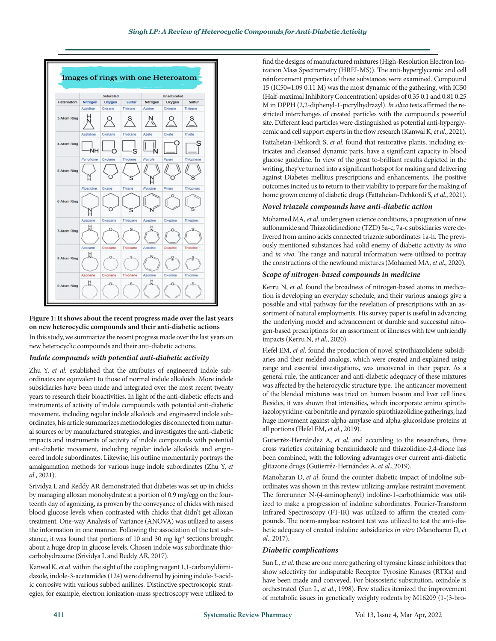

## **Figure 1: It shows about the recent progress made over the last years on new heterocyclic compounds and their anti-diabetic actions**

In this study, we summarize the recent progress made over the last years on new heterocyclic compounds and their anti-diabetic actions.

# *Indole compounds with potential anti-diabetic activity*

Zhu Y, *et al*. established that the attributes of engineered indole subordinates are equivalent to those of normal indole alkaloids. More indole subsidiaries have been made and integrated over the most recent twenty years to research their bioactivities. In light of the anti-diabetic effects and instruments of activity of indole compounds with potential anti-diabetic movement, including regular indole alkaloids and engineered indole subordinates, his article summarizes methodologies disconnected from natural sources or by manufactured strategies, and investigates the anti-diabetic impacts and instruments of activity of indole compounds with potential anti-diabetic movement, including regular indole alkaloids and engineered indole subordinates. Likewise, his outline momentarily portrays the amalgamation methods for various huge indole subordinates (Zhu Y, *et al*., 2021).

Srividya L and Reddy AR demonstrated that diabetes was set up in chicks by managing alloxan monohydrate at a portion of 0.9 mg/egg on the fourteenth day of agonizing, as proven by the conveyance of chicks with raised blood glucose levels when contrasted with chicks that didn't get alloxan treatment. One-way Analysis of Variance (ANOVA) was utilized to assess the information in one manner. Following the association of the test substance, it was found that portions of 10 and 30 mg kg<sup>-1</sup> sections brought about a huge drop in glucose levels. Chosen indole was subordinate thiocarbohydrazone (Srividya L and Reddy AR, 2017).

Kanwal K, *et al*. within the sight of the coupling reagent 1,1-carbonyldiimidazole, indole-3-acetamides (124) were delivered by joining indole-3-acidic corrosive with various subbed anilines. Distinctive spectroscopic strategies, for example, electron ionization-mass spectroscopy were utilized to find the designs of manufactured mixtures (High-Resolution Electron Ionization Mass Spectrometry (HREI-MS)). The anti-hyperglycemic and cell reinforcement properties of these substances were examined. Compound 15 (IC50=1.09 0.11 M) was the most dynamic of the gathering, with IC50 (Half-maximal Inhibitory Concentration) upsides of 0.35 0.1 and 0.81 0.25 M in DPPH (2,2-diphenyl-1-picrylhydrazyl). *In silico* tests affirmed the restricted interchanges of created particles with the compound's powerful site. Different lead particles were distinguished as potential anti-hyperglycemic and cell support experts in the flow research (Kanwal K, *et al*., 2021).

Fattaheian-Dehkordi S, *et al*. found that restorative plants, including extricates and cleansed dynamic parts, have a significant capacity in blood glucose guideline. In view of the great to-brilliant results depicted in the writing, they've turned into a significant hotspot for making and delivering against Diabetes mellitus prescriptions and enhancements. The positive outcomes incited us to return to their viability to prepare for the making of home grown enemy of diabetic drugs (Fattaheian-Dehkordi S, *et al*., 2021).

# *Novel triazole compounds have anti-diabetic action*

Mohamed MA, *et al*. under green science conditions, a progression of new sulfonamide and Thiazolidinedione (TZD) 5a-c, 7a-c subsidiaries were delivered from amino acids connected triazole subordinates 1a-h. The previously mentioned substances had solid enemy of diabetic activity *in vitro* and *in vivo*. The range and natural information were utilized to portray the constructions of the newfound mixtures (Mohamed MA, *et al*., 2020).

# *Scope of nitrogen-based compounds in medicine*

Kerru N, *et al*. found the broadness of nitrogen-based atoms in medication is developing an everyday schedule, and their various analogs give a possible and vital pathway for the revelation of prescriptions with an assortment of natural employments. His survey paper is useful in advancing the underlying model and advancement of durable and successful nitrogen-based prescriptions for an assortment of illnesses with few unfriendly impacts (Kerru N, *et al*., 2020).

Flefel EM, *et al*. found the production of novel spirothiazolidene subsidiaries and their melded analogs, which were created and explained using range and essential investigations, was uncovered in their paper. As a general rule, the anticancer and anti-diabetic adequacy of these mixtures was affected by the heterocyclic structure type. The anticancer movement of the blended mixtures was tried on human bosom and liver cell lines. Besides, it was shown that intensifies, which incorporate amino spirothiazolopyridine-carbonitrile and pyrazolo spirothiazolidine gatherings, had huge movement against alpha-amylase and alpha-glucosidase proteins at all portions (Flefel EM, *et al*., 2019).

Gutierréz-Hernández A, *et al*. and according to the researchers, three cross varieties containing benzimidazole and thiazolidine-2,4-dione has been combined, with the following advantages over current anti-diabetic glitazone drugs (Gutierréz-Hernández A, *et al*., 2019).

Manoharan D, *et al*. found the counter diabetic impact of indoline subordinates was shown in this review utilizing-amylase restraint movement. The forerunner N-(4-aminophenyl) indoline-1-carbothiamide was utilized to make a progression of indoline subordinates. Fourier-Transform Infrared Spectroscopy (FT-IR) was utilized to affirm the created compounds. The norm-amylase restraint test was utilized to test the anti-diabetic adequacy of created indoline subsidiaries *in vitro* (Manoharan D, *et al*., 2017).

# *Diabetic complications*

Sun L, *et al*. these are one more gathering of tyrosine kinase inhibitors that show selectivity for indisputable Receptor Tyrosine Kinases (RTKs) and have been made and conveyed. For bioisosteric substitution, oxindole is orchestrated (Sun L, *et al*., 1998). Few studies itemized the improvement of metabolic issues in genetically weighty rodents by M16209 (1-(3-bro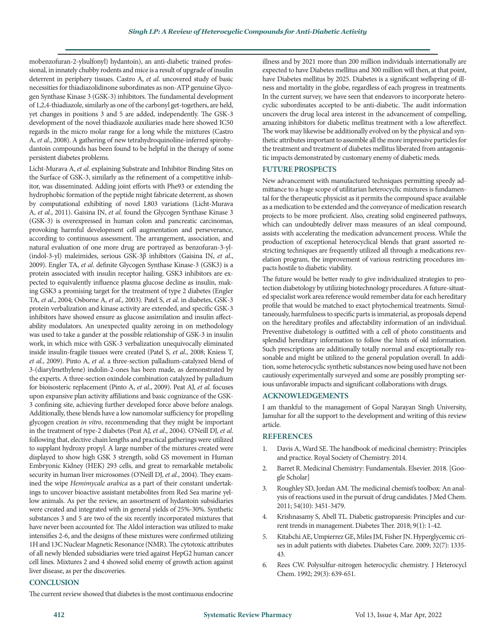mobenzofuran-2-ylsulfonyl) hydantoin), an anti-diabetic trained professional, in innately chubby rodents and mice is a result of upgrade of insulin deterrent in periphery tissues. Castro A, *et al*. uncovered study of basic necessities for thiadiazolidinone subordinates as non-ATP genuine Glycogen Synthase Kinase 3 (GSK-3) inhibitors. The fundamental development of 1,2,4-thiadiazole, similarly as one of the carbonyl get-togethers, are held, yet changes in positions 3 and 5 are added, independently. The GSK-3 development of the novel thiadiazole auxiliaries made here showed IC50 regards in the micro molar range for a long while the mixtures (Castro A, *et al*., 2008). A gathering of new tetrahydroquinoline-inferred spirohydantoin compounds has been found to be helpful in the therapy of some persistent diabetes problems.

Licht-Murava A, *et al*. explaining Substrate and Inhibitor Binding Sites on the Surface of GSK-3, similarly as the refinement of a competitive inhibitor, was disseminated. Adding joint efforts with Phe93 or extending the hydrophobic formation of the peptide might fabricate deterrent, as shown by computational exhibiting of novel L803 variations (Licht-Murava A, *et al*., 2011). Gaisina IN, *et al*. found the Glycogen Synthase Kinase 3 (GSK-3) is overexpressed in human colon and pancreatic carcinomas, provoking harmful development cell augmentation and perseverance, according to continuous assessment. The arrangement, association, and natural evaluation of one more drug are portrayed as benzofuran-3-yl- (indol-3-yl) maleimides, serious GSK-3β inhibitors (Gaisina IN, *et al*., 2009). Engler TA, *et al*. definite Glycogen Synthase Kinase-3 (GSK3) is a protein associated with insulin receptor hailing. GSK3 inhibitors are expected to equivalently influence plasma glucose decline as insulin, making GSK3 a promising target for the treatment of type 2 diabetes (Engler TA, *et al*., 2004; Osborne A, *et al*., 2003). Patel S, *et al*. in diabetes, GSK-3 protein verbalization and kinase activity are extended, and specific GSK-3 inhibitors have showed ensure as glucose assimilation and insulin affectability modulators. An unexpected quality zeroing in on methodology was used to take a gander at the possible relationship of GSK-3 in insulin work, in which mice with GSK-3 verbalization unequivocally eliminated inside insulin-fragile tissues were created (Patel S, *et al*., 2008; Kniess T, *et al*., 2009). Pinto A, *et al*. a three-section palladium-catalyzed blend of 3-(diarylmethylene) indolin-2-ones has been made, as demonstrated by the experts. A three-section oxindole combination catalyzed by palladium for bioisosteric replacement (Pinto A, *et al*., 2009). Peat AJ, *et al*. focuses upon expansive plan activity affiliations and basic cognizance of the GSK-3 confining site, achieving further developed force above before analogs. Additionally, these blends have a low nanomolar sufficiency for propelling glycogen creation *in vitro*, recommending that they might be important in the treatment of type-2 diabetes (Peat AJ, *et al*., 2004). O'Neill DJ, *et al*. following that, elective chain lengths and practical gatherings were utilized to supplant hydroxy propyl. A large number of the mixtures created were displayed to show high GSK 3 strength, solid GS movement in Human Embryonic Kidney (HEK) 293 cells, and great to remarkable metabolic security in human liver microsomes (O'Neill DJ, *et al*., 2004). They exam ined the wipe *Hemimycale arabica* as a part of their constant undertakings to uncover bioactive assistant metabolites from Red Sea marine yellow animals. As per the review, an assortment of hydantoin subsidiaries were created and integrated with in general yields of 25%-30%. Synthetic substances 3 and 5 are two of the six recently incorporated mixtures that have never been accounted for. The Aldol interaction was utilized to make intensifies 2-6, and the designs of these mixtures were confirmed utilizing 1H and 13C Nuclear Magnetic Resonance (NMR). The cytotoxic attributes of all newly blended subsidiaries were tried against HepG2 human cancer cell lines. Mixtures 2 and 4 showed solid enemy of growth action against liver disease, as per the discoveries.

illness and by 2021 more than 200 million individuals internationally are expected to have Diabetes mellitus and 300 million will then, at that point, have Diabetes mellitus by 2025. Diabetes is a significant wellspring of illness and mortality in the globe, regardless of each progress in treatments. In the current survey, we have seen that endeavors to incorporate heterocyclic subordinates accepted to be anti-diabetic. The audit information uncovers the drug local area interest in the advancement of compelling, amazing inhibitors for diabetic mellitus treatment with a low aftereffect. The work may likewise be additionally evolved on by the physical and synthetic attributes important to assemble all the more impressive particles for the treatment and treatment of diabetes mellitus liberated from antagonistic impacts demonstrated by customary enemy of diabetic meds.

## **FUTURE PROSPECTS**

New advancement with manufactured techniques permitting speedy admittance to a huge scope of utilitarian heterocyclic mixtures is fundamental for the therapeutic physicist as it permits the compound space available as a medication to be extended and the conveyance of medication research projects to be more proficient. Also, creating solid engineered pathways, which can undoubtedly deliver mass measures of an ideal compound, assists with accelerating the medication advancement process. While the production of exceptional heterocyclical blends that grant assorted restricting techniques are frequently utilized all through a medications revelation program, the improvement of various restricting procedures impacts hostile to diabetic viability.

The future would be better ready to give individualized strategies to protection diabetology by utilizing biotechnology procedures. A future-situated specialist work area reference would remember data for each hereditary profile that would be matched to exact phytochemical treatments. Simultaneously, harmfulness to specific parts is immaterial, as proposals depend on the hereditary profiles and affectability information of an individual. Preventive diabetology is outfitted with a cell of photo constituents and splendid hereditary information to follow the hints of old information. Such prescriptions are additionally totally normal and exceptionally reasonable and might be utilized to the general population overall. In addition, some heterocyclic synthetic substances now being used have not been cautiously experimentally surveyed and some are possibly prompting serious unfavorable impacts and significant collaborations with drugs.

## **ACKNOWLEDGEMENTS**

I am thankful to the management of Gopal Narayan Singh University, Jamuhar for all the support to the development and writing of this review article.

## **REFERENCES**

- 1. Davis A, Ward SE[. The handbook of medicinal chemistry: Principles](https://pubs.rsc.org/en/content/ebook/978-1-84973-625-1) [and practice.](https://pubs.rsc.org/en/content/ebook/978-1-84973-625-1) Royal Society of Chemistry. 2014.
- 2. Barret R. Medicinal Chemistry: Fundamentals. Elsevier. 2018. [Google Scholar]
- 3. Roughley SD, Jordan AM. [The medicinal chemist's toolbox: An anal](https://pubs.acs.org/doi/full/10.1021/jm200187y)[ysis of reactions used in the pursuit of drug candidates.](https://pubs.acs.org/doi/full/10.1021/jm200187y) J Med Chem. 2011; 54(10): 3451-3479.
- 4. Krishnasamy S, Abell TL[. Diabetic gastroparesis: Principles and cur](https://link.springer.com/article/10.1007/s13300-018-0454-9)[rent trends in management.](https://link.springer.com/article/10.1007/s13300-018-0454-9) Diabetes Ther. 2018; 9(1): 1-42.
- 5. Kitabchi AE, Umpierrez GE, Miles JM, Fisher JN. [Hyperglycemic cri](https://diabetesjournals.org/care/article/32/7/1335/27093/Hyperglycemic-Crises-in-Adult-Patients-With)[ses in adult patients with diabetes.](https://diabetesjournals.org/care/article/32/7/1335/27093/Hyperglycemic-Crises-in-Adult-Patients-With) Diabetes Care. 2009; 32(7): 1335- 43.
- 6. Rees CW. [Polysulfur‐nitrogen heterocyclic chemistry.](https://onlinelibrary.wiley.com/doi/abs/10.1002/jhet.5570290306) J Heterocycl Chem. 1992; 29(3): 639-651.

# **CONCLUSION**

The current review showed that diabetes is the most continuous endocrine